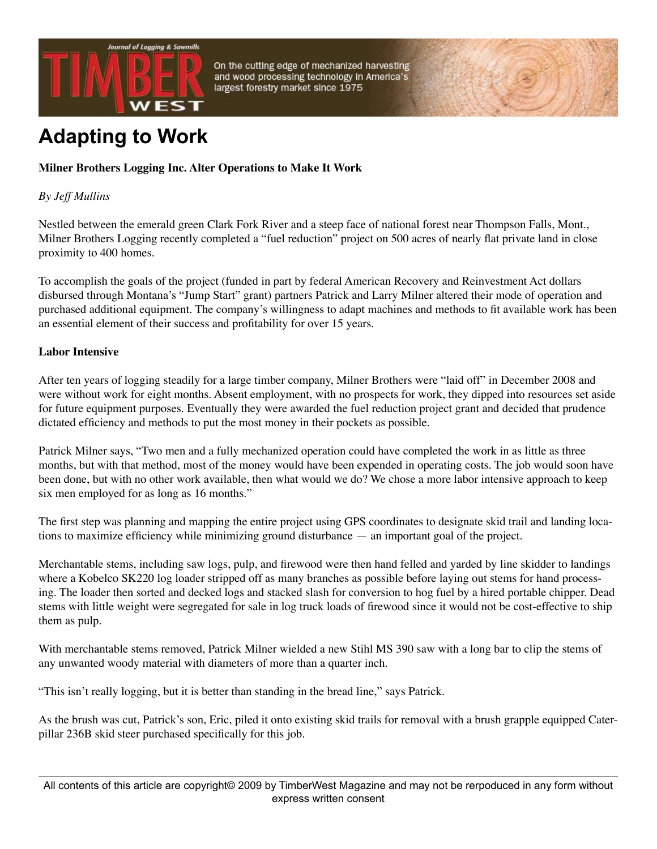

On the cutting edge of mechanized harvesting and wood processing technology in America's largest forestry market since 1975

# **Adapting to Work**

## **Milner Brothers Logging Inc. Alter Operations to Make It Work**

#### *By Jeff Mullins*

Nestled between the emerald green Clark Fork River and a steep face of national forest near Thompson Falls, Mont., Milner Brothers Logging recently completed a "fuel reduction" project on 500 acres of nearly flat private land in close proximity to 400 homes.

To accomplish the goals of the project (funded in part by federal American Recovery and Reinvestment Act dollars disbursed through Montana's "Jump Start" grant) partners Patrick and Larry Milner altered their mode of operation and purchased additional equipment. The company's willingness to adapt machines and methods to fit available work has been an essential element of their success and profitability for over 15 years.

#### **Labor Intensive**

After ten years of logging steadily for a large timber company, Milner Brothers were "laid off" in December 2008 and were without work for eight months. Absent employment, with no prospects for work, they dipped into resources set aside for future equipment purposes. Eventually they were awarded the fuel reduction project grant and decided that prudence dictated efficiency and methods to put the most money in their pockets as possible.

Patrick Milner says, "Two men and a fully mechanized operation could have completed the work in as little as three months, but with that method, most of the money would have been expended in operating costs. The job would soon have been done, but with no other work available, then what would we do? We chose a more labor intensive approach to keep six men employed for as long as 16 months."

The first step was planning and mapping the entire project using GPS coordinates to designate skid trail and landing locations to maximize efficiency while minimizing ground disturbance — an important goal of the project.

Merchantable stems, including saw logs, pulp, and firewood were then hand felled and yarded by line skidder to landings where a Kobelco SK220 log loader stripped off as many branches as possible before laying out stems for hand processing. The loader then sorted and decked logs and stacked slash for conversion to hog fuel by a hired portable chipper. Dead stems with little weight were segregated for sale in log truck loads of firewood since it would not be cost-effective to ship them as pulp.

With merchantable stems removed, Patrick Milner wielded a new Stihl MS 390 saw with a long bar to clip the stems of any unwanted woody material with diameters of more than a quarter inch.

"This isn't really logging, but it is better than standing in the bread line," says Patrick.

As the brush was cut, Patrick's son, Eric, piled it onto existing skid trails for removal with a brush grapple equipped Caterpillar 236B skid steer purchased specifically for this job.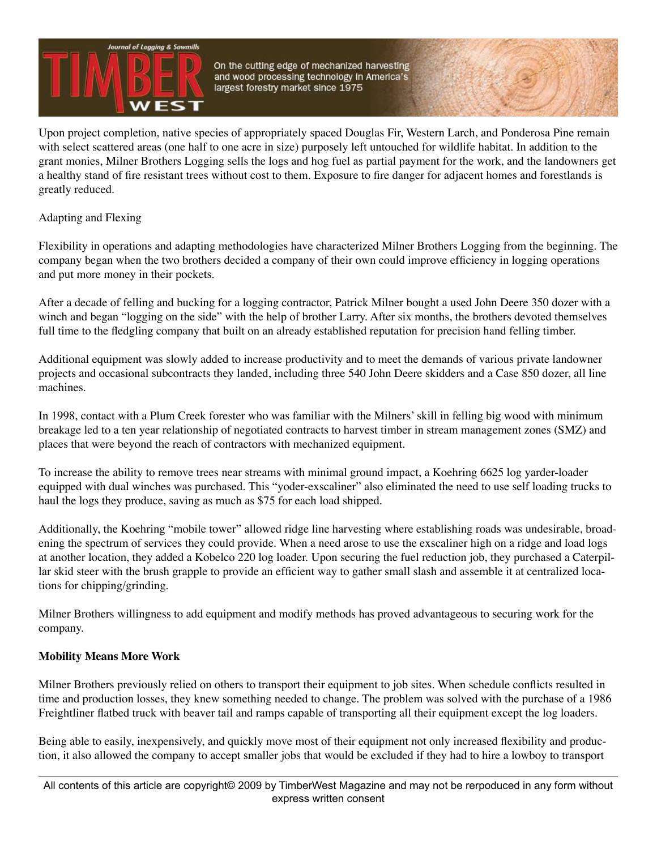

On the cutting edge of mechanized harvesting and wood processing technology in America's largest forestry market since 1975

Upon project completion, native species of appropriately spaced Douglas Fir, Western Larch, and Ponderosa Pine remain with select scattered areas (one half to one acre in size) purposely left untouched for wildlife habitat. In addition to the grant monies, Milner Brothers Logging sells the logs and hog fuel as partial payment for the work, and the landowners get a healthy stand of fire resistant trees without cost to them. Exposure to fire danger for adjacent homes and forestlands is greatly reduced.

Adapting and Flexing

Flexibility in operations and adapting methodologies have characterized Milner Brothers Logging from the beginning. The company began when the two brothers decided a company of their own could improve efficiency in logging operations and put more money in their pockets.

After a decade of felling and bucking for a logging contractor, Patrick Milner bought a used John Deere 350 dozer with a winch and began "logging on the side" with the help of brother Larry. After six months, the brothers devoted themselves full time to the fledgling company that built on an already established reputation for precision hand felling timber.

Additional equipment was slowly added to increase productivity and to meet the demands of various private landowner projects and occasional subcontracts they landed, including three 540 John Deere skidders and a Case 850 dozer, all line machines.

In 1998, contact with a Plum Creek forester who was familiar with the Milners' skill in felling big wood with minimum breakage led to a ten year relationship of negotiated contracts to harvest timber in stream management zones (SMZ) and places that were beyond the reach of contractors with mechanized equipment.

To increase the ability to remove trees near streams with minimal ground impact, a Koehring 6625 log yarder-loader equipped with dual winches was purchased. This "yoder-exscaliner" also eliminated the need to use self loading trucks to haul the logs they produce, saving as much as \$75 for each load shipped.

Additionally, the Koehring "mobile tower" allowed ridge line harvesting where establishing roads was undesirable, broadening the spectrum of services they could provide. When a need arose to use the exscaliner high on a ridge and load logs at another location, they added a Kobelco 220 log loader. Upon securing the fuel reduction job, they purchased a Caterpillar skid steer with the brush grapple to provide an efficient way to gather small slash and assemble it at centralized locations for chipping/grinding.

Milner Brothers willingness to add equipment and modify methods has proved advantageous to securing work for the company.

### **Mobility Means More Work**

Milner Brothers previously relied on others to transport their equipment to job sites. When schedule conflicts resulted in time and production losses, they knew something needed to change. The problem was solved with the purchase of a 1986 Freightliner flatbed truck with beaver tail and ramps capable of transporting all their equipment except the log loaders.

Being able to easily, inexpensively, and quickly move most of their equipment not only increased flexibility and production, it also allowed the company to accept smaller jobs that would be excluded if they had to hire a lowboy to transport